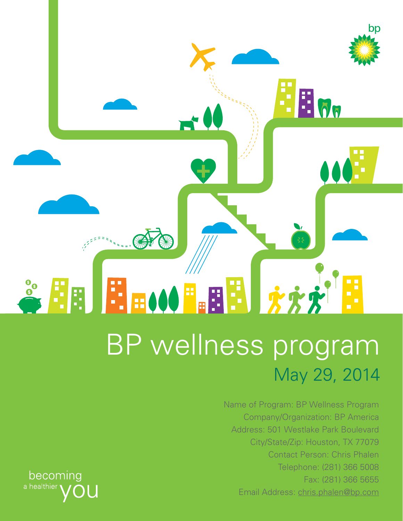

Name of Program: BP Wellness Program Company/Organization: BP America Address: 501 Westlake Park Boulevard City/State/Zip: Houston, TX 77079 Contact Person: Chris Phalen Telephone: (281) 366 5008 Fax: (281) 366 5655 Email Address: chris.phalen@bp.com

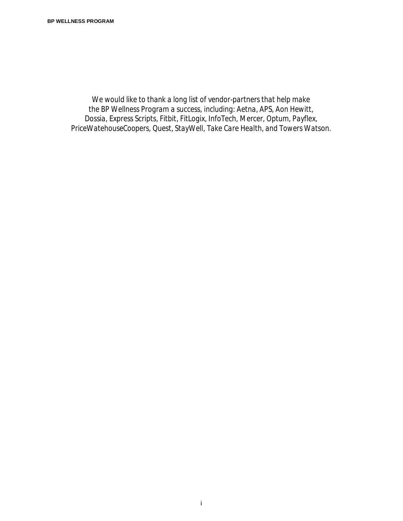*We would like to thank a long list of vendor-partners that help make the BP Wellness Program a success, including: Aetna, APS, Aon Hewitt, Dossia, Express Scripts, Fitbit, FitLogix, InfoTech, Mercer, Optum, Payflex, PriceWatehouseCoopers, Quest, StayWell, Take Care Health, and Towers Watson.*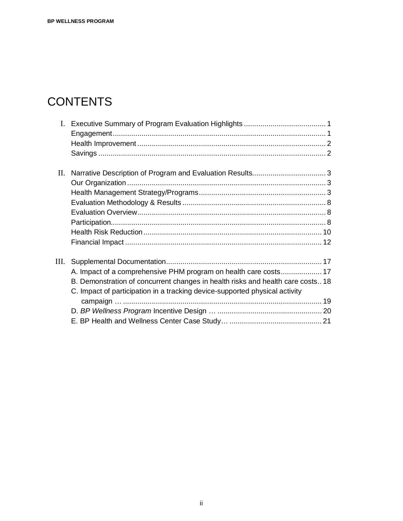# **CONTENTS**

| II.  |                                                                                 |  |
|------|---------------------------------------------------------------------------------|--|
|      |                                                                                 |  |
|      |                                                                                 |  |
|      |                                                                                 |  |
|      |                                                                                 |  |
|      |                                                                                 |  |
|      |                                                                                 |  |
|      |                                                                                 |  |
| III. |                                                                                 |  |
|      | A. Impact of a comprehensive PHM program on health care costs 17                |  |
|      | B. Demonstration of concurrent changes in health risks and health care costs 18 |  |
|      | C. Impact of participation in a tracking device-supported physical activity     |  |
|      |                                                                                 |  |
|      |                                                                                 |  |
|      |                                                                                 |  |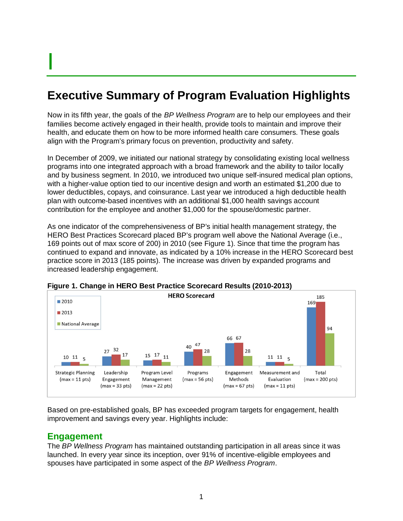I

# **Executive Summary of Program Evaluation Highlights**

Now in its fifth year, the goals of the *BP Wellness Program* are to help our employees and their families become actively engaged in their health, provide tools to maintain and improve their health, and educate them on how to be more informed health care consumers. These goals align with the Program's primary focus on prevention, productivity and safety.

In December of 2009, we initiated our national strategy by consolidating existing local wellness programs into one integrated approach with a broad framework and the ability to tailor locally and by business segment. In 2010, we introduced two unique self-insured medical plan options, with a higher-value option tied to our incentive design and worth an estimated \$1,200 due to lower deductibles, copays, and coinsurance. Last year we introduced a high deductible health plan with outcome-based incentives with an additional \$1,000 health savings account contribution for the employee and another \$1,000 for the spouse/domestic partner.

As one indicator of the comprehensiveness of BP's initial health management strategy, the HERO Best Practices Scorecard placed BP's program well above the National Average (i.e., 169 points out of max score of 200) in 2010 (see Figure 1). Since that time the program has continued to expand and innovate, as indicated by a 10% increase in the HERO Scorecard best practice score in 2013 (185 points). The increase was driven by expanded programs and increased leadership engagement.



**Figure 1. Change in HERO Best Practice Scorecard Results (2010-2013)**

Based on pre-established goals, BP has exceeded program targets for engagement, health improvement and savings every year. Highlights include:

#### **Engagement**

The *BP Wellness Program* has maintained outstanding participation in all areas since it was launched. In every year since its inception, over 91% of incentive-eligible employees and spouses have participated in some aspect of the *BP Wellness Program*.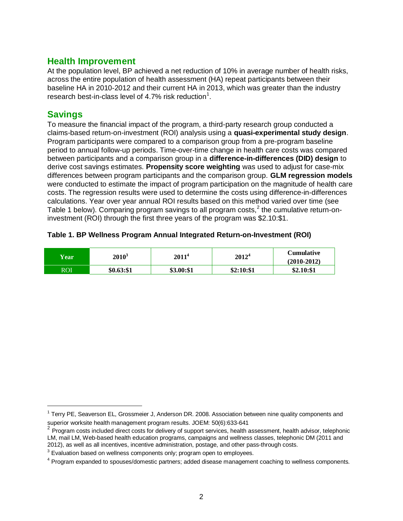#### **Health Improvement**

At the population level, BP achieved a net reduction of 10% in average number of health risks, across the entire population of health assessment (HA) repeat participants between their baseline HA in 2010-2012 and their current HA in 2013, which was greater than the industry research best-in-class level of 4.7% risk reduction<sup>1</sup>.

#### **Savings**

To measure the financial impact of the program, a third-party research group conducted a claims-based return-on-investment (ROI) analysis using a **quasi-experimental study design**. Program participants were compared to a comparison group from a pre-program baseline period to annual follow-up periods. Time-over-time change in health care costs was compared between participants and a comparison group in a **difference-in-differences (DID) design** to derive cost savings estimates. **Propensity score weighting** was used to adjust for case-mix differences between program participants and the comparison group. **GLM regression models** were conducted to estimate the impact of program participation on the magnitude of health care costs. The regression results were used to determine the costs using difference-in-differences calculations. Year over year annual ROI results based on this method varied over time (see Table 1 below). Comparing program savings to all program costs,<sup>2</sup> the cumulative return-oninvestment (ROI) through the first three years of the program was \$2.10:\$1.

|  | Table 1. BP Wellness Program Annual Integrated Return-on-Investment (ROI) |  |  |  |  |  |  |  |
|--|---------------------------------------------------------------------------|--|--|--|--|--|--|--|
|--|---------------------------------------------------------------------------|--|--|--|--|--|--|--|

| Year | $2010^3$    | $2011^4$   | $2012^4$  | Cumulative<br>$(2010 - 2012)$ |
|------|-------------|------------|-----------|-------------------------------|
| ROI  | \$0.63: \$1 | \$3.00:\$1 | \$2:10:51 | \$2.10: \$1                   |

<sup>&</sup>lt;sup>1</sup> Terry PE, Seaverson EL, Grossmeier J, Anderson DR. 2008. Association between nine quality components and superior worksite health management program results. JOEM: 50(6):633-641

<sup>&</sup>lt;sup>2</sup> Program costs included direct costs for delivery of support services, health assessment, health advisor, telephonic LM, mail LM, Web-based health education programs, campaigns and wellness classes, telephonic DM (2011 and 2012), as well as all incentives, incentive administration, postage, and other pass-through costs.

 $3$  Evaluation based on wellness components only; program open to employees.

<sup>&</sup>lt;sup>4</sup> Program expanded to spouses/domestic partners; added disease management coaching to wellness components.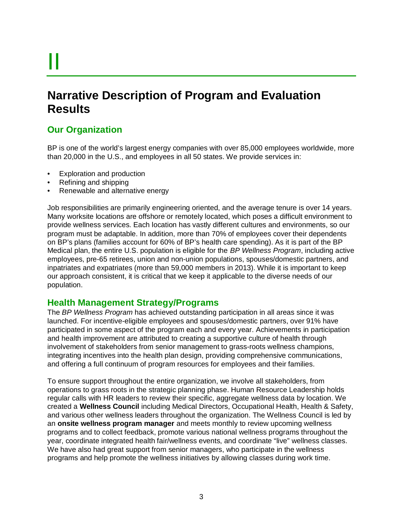# II

# **Narrative Description of Program and Evaluation Results**

## **Our Organization**

BP is one of the world's largest energy companies with over 85,000 employees worldwide, more than 20,000 in the U.S., and employees in all 50 states. We provide services in:

- Exploration and production
- Refining and shipping
- Renewable and alternative energy

Job responsibilities are primarily engineering oriented, and the average tenure is over 14 years. Many worksite locations are offshore or remotely located, which poses a difficult environment to provide wellness services. Each location has vastly different cultures and environments, so our program must be adaptable. In addition, more than 70% of employees cover their dependents on BP's plans (families account for 60% of BP's health care spending). As it is part of the BP Medical plan, the entire U.S. population is eligible for the *BP Wellness Program*, including active employees, pre-65 retirees, union and non-union populations, spouses/domestic partners, and inpatriates and expatriates (more than 59,000 members in 2013). While it is important to keep our approach consistent, it is critical that we keep it applicable to the diverse needs of our population.

#### **Health Management Strategy/Programs**

The *BP Wellness Program* has achieved outstanding participation in all areas since it was launched. For incentive-eligible employees and spouses/domestic partners, over 91% have participated in some aspect of the program each and every year. Achievements in participation and health improvement are attributed to creating a supportive culture of health through involvement of stakeholders from senior management to grass-roots wellness champions, integrating incentives into the health plan design, providing comprehensive communications, and offering a full continuum of program resources for employees and their families.

To ensure support throughout the entire organization, we involve all stakeholders, from operations to grass roots in the strategic planning phase. Human Resource Leadership holds regular calls with HR leaders to review their specific, aggregate wellness data by location. We created a **Wellness Council** including Medical Directors, Occupational Health, Health & Safety, and various other wellness leaders throughout the organization. The Wellness Council is led by an **onsite wellness program manager** and meets monthly to review upcoming wellness programs and to collect feedback, promote various national wellness programs throughout the year, coordinate integrated health fair/wellness events, and coordinate "live" wellness classes. We have also had great support from senior managers, who participate in the wellness programs and help promote the wellness initiatives by allowing classes during work time.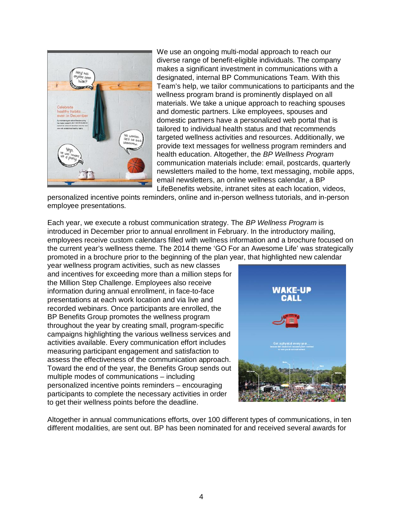

We use an ongoing multi-modal approach to reach our diverse range of benefit-eligible individuals. The company makes a significant investment in communications with a designated, internal BP Communications Team. With this Team's help, we tailor communications to participants and the wellness program brand is prominently displayed on all materials. We take a unique approach to reaching spouses and domestic partners. Like employees, spouses and domestic partners have a personalized web portal that is tailored to individual health status and that recommends targeted wellness activities and resources. Additionally, we provide text messages for wellness program reminders and health education. Altogether, the *BP Wellness Program* communication materials include: email, postcards, quarterly newsletters mailed to the home, text messaging, mobile apps, email newsletters, an online wellness calendar, a BP LifeBenefits website, intranet sites at each location, videos,

personalized incentive points reminders, online and in-person wellness tutorials, and in-person employee presentations.

Each year, we execute a robust communication strategy. The *BP Wellness Program* is introduced in December prior to annual enrollment in February. In the introductory mailing, employees receive custom calendars filled with wellness information and a brochure focused on the current year's wellness theme. The 2014 theme 'GO For an Awesome Life' was strategically promoted in a brochure prior to the beginning of the plan year, that highlighted new calendar

year wellness program activities, such as new classes and incentives for exceeding more than a million steps for the Million Step Challenge. Employees also receive information during annual enrollment, in face-to-face presentations at each work location and via live and recorded webinars. Once participants are enrolled, the BP Benefits Group promotes the wellness program throughout the year by creating small, program-specific campaigns highlighting the various wellness services and activities available. Every communication effort includes measuring participant engagement and satisfaction to assess the effectiveness of the communication approach. Toward the end of the year, the Benefits Group sends out multiple modes of communications – including personalized incentive points reminders – encouraging participants to complete the necessary activities in order to get their wellness points before the deadline.



Altogether in annual communications efforts, over 100 different types of communications, in ten different modalities, are sent out. BP has been nominated for and received several awards for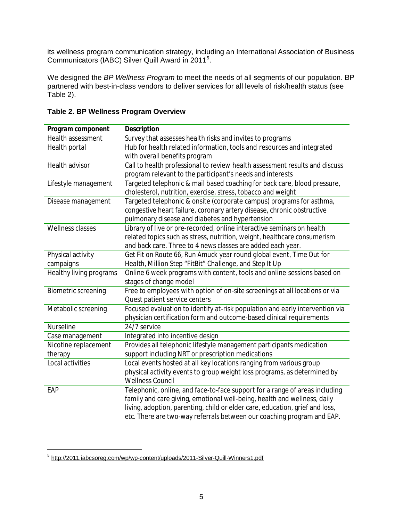its wellness program communication strategy, including an International Association of Business Communicators (IABC) Silver Quill Award in 2011<sup>5</sup>.

We designed the *BP Wellness Program* to meet the needs of all segments of our population. BP partnered with best-in-class vendors to deliver services for all levels of risk/health status (see Table 2).

| Program component          | Description                                                                  |
|----------------------------|------------------------------------------------------------------------------|
| Health assessment          | Survey that assesses health risks and invites to programs                    |
| Health portal              | Hub for health related information, tools and resources and integrated       |
|                            | with overall benefits program                                                |
| Health advisor             | Call to health professional to review health assessment results and discuss  |
|                            | program relevant to the participant's needs and interests                    |
| Lifestyle management       | Targeted telephonic & mail based coaching for back care, blood pressure,     |
|                            | cholesterol, nutrition, exercise, stress, tobacco and weight                 |
| Disease management         | Targeted telephonic & onsite (corporate campus) programs for asthma,         |
|                            | congestive heart failure, coronary artery disease, chronic obstructive       |
|                            | pulmonary disease and diabetes and hypertension                              |
| <b>Wellness classes</b>    | Library of live or pre-recorded, online interactive seminars on health       |
|                            | related topics such as stress, nutrition, weight, healthcare consumerism     |
|                            | and back care. Three to 4 news classes are added each year.                  |
| Physical activity          | Get Fit on Route 66, Run Amuck year round global event, Time Out for         |
| campaigns                  | Health, Million Step "FitBit" Challenge, and Step It Up                      |
| Healthy living programs    | Online 6 week programs with content, tools and online sessions based on      |
|                            | stages of change model                                                       |
| <b>Biometric screening</b> | Free to employees with option of on-site screenings at all locations or via  |
|                            | Quest patient service centers                                                |
| Metabolic screening        | Focused evaluation to identify at-risk population and early intervention via |
|                            | physician certification form and outcome-based clinical requirements         |
| Nurseline                  | 24/7 service                                                                 |
| Case management            | Integrated into incentive design                                             |
| Nicotine replacement       | Provides all telephonic lifestyle management participants medication         |
| therapy                    | support including NRT or prescription medications                            |
| Local activities           | Local events hosted at all key locations ranging from various group          |
|                            | physical activity events to group weight loss programs, as determined by     |
|                            | <b>Wellness Council</b>                                                      |
| EAP                        | Telephonic, online, and face-to-face support for a range of areas including  |
|                            | family and care giving, emotional well-being, health and wellness, daily     |
|                            | living, adoption, parenting, child or elder care, education, grief and loss, |
|                            | etc. There are two-way referrals between our coaching program and EAP.       |

#### **Table 2. BP Wellness Program Overview**

<sup>&</sup>lt;sup>5</sup> http://2011.iabcsoreg.com/wp/wp-content/uploads/2011-Silver-Quill-Winners1.pdf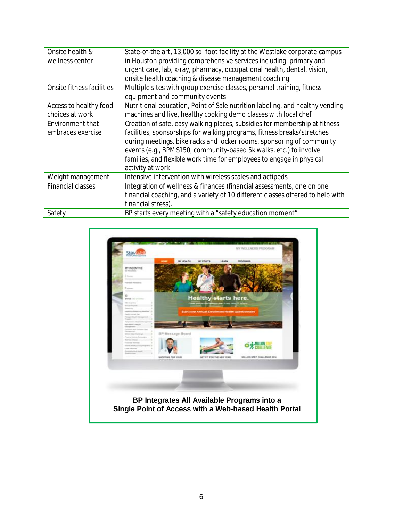| Onsite health &           | State-of-the art, 13,000 sq. foot facility at the Westlake corporate campus    |
|---------------------------|--------------------------------------------------------------------------------|
| wellness center           | in Houston providing comprehensive services including: primary and             |
|                           | urgent care, lab, x-ray, pharmacy, occupational health, dental, vision,        |
|                           | onsite health coaching & disease management coaching                           |
| Onsite fitness facilities | Multiple sites with group exercise classes, personal training, fitness         |
|                           | equipment and community events                                                 |
| Access to healthy food    | Nutritional education, Point of Sale nutrition labeling, and healthy vending   |
| choices at work           | machines and live, healthy cooking demo classes with local chef                |
| Environment that          | Creation of safe, easy walking places, subsidies for membership at fitness     |
| embraces exercise         | facilities, sponsorships for walking programs, fitness breaks/stretches        |
|                           | during meetings, bike racks and locker rooms, sponsoring of community          |
|                           | events (e.g., BPMS150, community-based 5k walks, etc.) to involve              |
|                           | families, and flexible work time for employees to engage in physical           |
|                           | activity at work                                                               |
| Weight management         | Intensive intervention with wireless scales and actipeds                       |
| <b>Financial classes</b>  | Integration of wellness & finances (financial assessments, one on one          |
|                           | financial coaching, and a variety of 10 different classes offered to help with |
|                           | financial stress).                                                             |
| Safety                    | BP starts every meeting with a "safety education moment"                       |

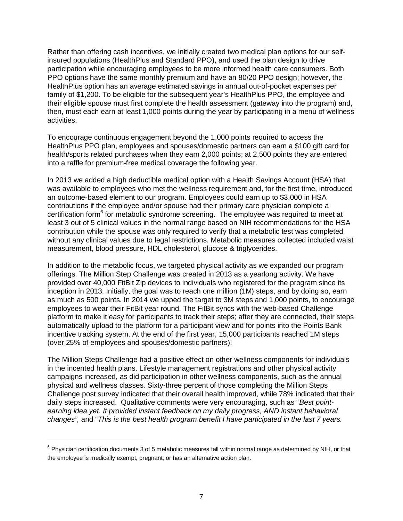Rather than offering cash incentives, we initially created two medical plan options for our selfinsured populations (HealthPlus and Standard PPO), and used the plan design to drive participation while encouraging employees to be more informed health care consumers. Both PPO options have the same monthly premium and have an 80/20 PPO design; however, the HealthPlus option has an average estimated savings in annual out-of-pocket expenses per family of \$1,200. To be eligible for the subsequent year's HealthPlus PPO, the employee and their eligible spouse must first complete the health assessment (gateway into the program) and, then, must each earn at least 1,000 points during the year by participating in a menu of wellness activities.

To encourage continuous engagement beyond the 1,000 points required to access the HealthPlus PPO plan, employees and spouses/domestic partners can earn a \$100 gift card for health/sports related purchases when they earn 2,000 points; at 2,500 points they are entered into a raffle for premium-free medical coverage the following year.

In 2013 we added a high deductible medical option with a Health Savings Account (HSA) that was available to employees who met the wellness requirement and, for the first time, introduced an outcome-based element to our program. Employees could earn up to \$3,000 in HSA contributions if the employee and/or spouse had their primary care physician complete a certification form<sup>6</sup> for metabolic syndrome screening. The employee was required to meet at least 3 out of 5 clinical values in the normal range based on NIH recommendations for the HSA contribution while the spouse was only required to verify that a metabolic test was completed without any clinical values due to legal restrictions. Metabolic measures collected included waist measurement, blood pressure, HDL cholesterol, glucose & triglycerides.

In addition to the metabolic focus, we targeted physical activity as we expanded our program offerings. The Million Step Challenge was created in 2013 as a yearlong activity. We have provided over 40,000 FitBit Zip devices to individuals who registered for the program since its inception in 2013. Initially, the goal was to reach one million (1M) steps, and by doing so, earn as much as 500 points. In 2014 we upped the target to 3M steps and 1,000 points, to encourage employees to wear their FitBit year round. The FitBit syncs with the web-based Challenge platform to make it easy for participants to track their steps; after they are connected, their steps automatically upload to the platform for a participant view and for points into the Points Bank incentive tracking system. At the end of the first year, 15,000 participants reached 1M steps (over 25% of employees and spouses/domestic partners)!

The Million Steps Challenge had a positive effect on other wellness components for individuals in the incented health plans. Lifestyle management registrations and other physical activity campaigns increased, as did participation in other wellness components, such as the annual physical and wellness classes. Sixty-three percent of those completing the Million Steps Challenge post survey indicated that their overall health improved, while 78% indicated that their daily steps increased. Qualitative comments were very encouraging, such as "*Best pointearning idea yet. It provided instant feedback on my daily progress, AND instant behavioral changes",* and "*This is the best health program benefit I have participated in the last 7 years.*

 $^6$  Physician certification documents 3 of 5 metabolic measures fall within normal range as determined by NIH, or that the employee is medically exempt, pregnant, or has an alternative action plan.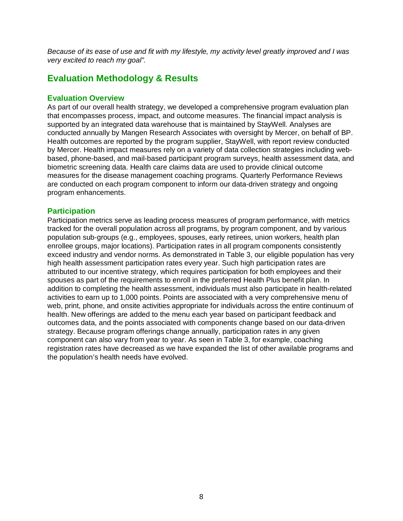*Because of its ease of use and fit with my lifestyle, my activity level greatly improved and I was very excited to reach my goal".*

### **Evaluation Methodology & Results**

#### **Evaluation Overview**

As part of our overall health strategy, we developed a comprehensive program evaluation plan that encompasses process, impact, and outcome measures. The financial impact analysis is supported by an integrated data warehouse that is maintained by StayWell. Analyses are conducted annually by Mangen Research Associates with oversight by Mercer, on behalf of BP. Health outcomes are reported by the program supplier, StayWell, with report review conducted by Mercer. Health impact measures rely on a variety of data collection strategies including webbased, phone-based, and mail-based participant program surveys, health assessment data, and biometric screening data. Health care claims data are used to provide clinical outcome measures for the disease management coaching programs. Quarterly Performance Reviews are conducted on each program component to inform our data-driven strategy and ongoing program enhancements.

#### **Participation**

Participation metrics serve as leading process measures of program performance, with metrics tracked for the overall population across all programs, by program component, and by various population sub-groups (e.g., employees, spouses, early retirees, union workers, health plan enrollee groups, major locations). Participation rates in all program components consistently exceed industry and vendor norms. As demonstrated in Table 3, our eligible population has very high health assessment participation rates every year. Such high participation rates are attributed to our incentive strategy, which requires participation for both employees and their spouses as part of the requirements to enroll in the preferred Health Plus benefit plan. In addition to completing the health assessment, individuals must also participate in health-related activities to earn up to 1,000 points. Points are associated with a very comprehensive menu of web, print, phone, and onsite activities appropriate for individuals across the entire continuum of health. New offerings are added to the menu each year based on participant feedback and outcomes data, and the points associated with components change based on our data-driven strategy. Because program offerings change annually, participation rates in any given component can also vary from year to year. As seen in Table 3, for example, coaching registration rates have decreased as we have expanded the list of other available programs and the population's health needs have evolved.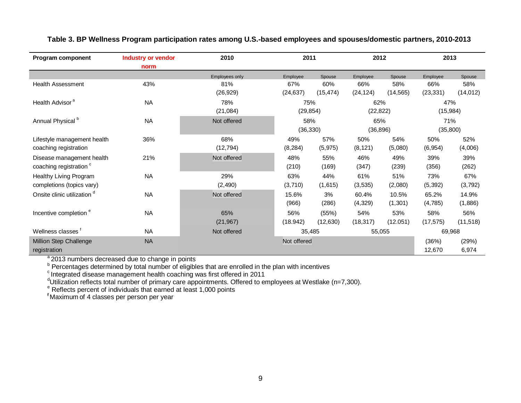| Program component                      | <b>Industry or vendor</b> | 2010           | 2011        |           | 2012      |           | 2013      |           |
|----------------------------------------|---------------------------|----------------|-------------|-----------|-----------|-----------|-----------|-----------|
|                                        | norm                      | Employees only | Employee    | Spouse    | Employee  | Spouse    | Employee  | Spouse    |
| <b>Health Assessment</b>               | 43%                       | 81%            | 67%         | 60%       | 66%       | 58%       | 66%       | 58%       |
|                                        |                           | (26, 929)      | (24, 637)   | (15, 474) | (24, 124) | (14, 565) | (23, 331) | (14, 012) |
| Health Advisor <sup>a</sup>            | <b>NA</b>                 | 78%            | 75%         |           | 62%       |           | 47%       |           |
|                                        |                           | (21,084)       | (29, 854)   |           | (22, 822) |           | (15,984)  |           |
| Annual Physical <sup>b</sup>           | <b>NA</b>                 | Not offered    | 58%         |           | 65%       |           | 71%       |           |
|                                        |                           |                | (36, 330)   |           | (36, 896) |           | (35,800)  |           |
| Lifestyle management health            | 36%                       | 68%            | 49%         | 57%       | 50%       | 54%       | 50%       | 52%       |
| coaching registration                  |                           | (12, 794)      | (8, 284)    | (5, 975)  | (8, 121)  | (5,080)   | (6, 954)  | (4,006)   |
| Disease management health              | 21%                       | Not offered    | 48%         | 55%       | 46%       | 49%       | 39%       | 39%       |
| coaching registration <sup>c</sup>     |                           |                | (210)       | (169)     | (347)     | (239)     | (356)     | (262)     |
| Healthy Living Program                 | <b>NA</b>                 | 29%            | 63%         | 44%       | 61%       | 51%       | 73%       | 67%       |
| completions (topics vary)              |                           | (2,490)        | (3,710)     | (1,615)   | (3, 535)  | (2,080)   | (5, 392)  | (3,792)   |
| Onsite clinic utilization <sup>a</sup> | <b>NA</b>                 | Not offered    | 15.6%       | 3%        | 60.4%     | 10.5%     | 65.2%     | 14.9%     |
|                                        |                           |                | (966)       | (286)     | (4,329)   | (1,301)   | (4,785)   | (1,886)   |
| Incentive completion <sup>e</sup>      | <b>NA</b>                 | 65%            | 56%         | (55%)     | 54%       | 53%       | 58%       | 56%       |
|                                        |                           | (21, 967)      | (18.942)    | (12,630)  | (18, 317) | (12.051)  | (17, 575) | (11, 518) |
| Wellness classes                       | <b>NA</b>                 | Not offered    |             | 35,485    | 55,055    |           | 69,968    |           |
| Million Step Challenge                 | <b>NA</b>                 |                | Not offered |           |           |           | (36%)     | (29%)     |
| registration                           |                           |                |             |           |           |           | 12,670    | 6,974     |

#### **Table 3. BP Wellness Program participation rates among U.S.-based employees and spouses/domestic partners, 2010-2013**

<sup>a</sup> 2013 numbers decreased due to change in points<br><sup>b</sup> Percentages determined by total number of eligibles that are enrolled in the plan with incentives

c Integrated disease management health coaching was first offered in 2011

dUtilization reflects total number of primary care appointments. Offered to employees at Westlake (n=7,300).

<sup>e</sup> Reflects percent of individuals that earned at least 1,000 points

**<sup>f</sup>** Maximum of 4 classes per person per year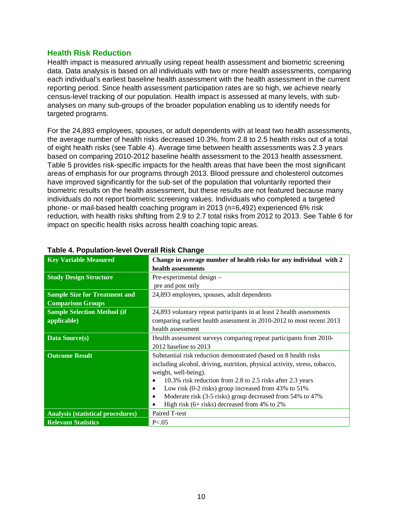#### **Health Risk Reduction**

Health impact is measured annually using repeat health assessment and biometric screening data. Data analysis is based on all individuals with two or more health assessments, comparing each individual's earliest baseline health assessment with the health assessment in the current reporting period. Since health assessment participation rates are so high, we achieve nearly census-level tracking of our population. Health impact is assessed at many levels, with subanalyses on many sub-groups of the broader population enabling us to identify needs for targeted programs.

For the 24,893 employees, spouses, or adult dependents with at least two health assessments, the average number of health risks decreased 10.3%, from 2.8 to 2.5 health risks out of a total of eight health risks (see Table 4). Average time between health assessments was 2.3 years based on comparing 2010-2012 baseline health assessment to the 2013 health assessment. Table 5 provides risk-specific impacts for the health areas that have been the most significant areas of emphasis for our programs through 2013. Blood pressure and cholesterol outcomes have improved significantly for the sub-set of the population that voluntarily reported their biometric results on the health assessment, but these results are not featured because many individuals do not report biometric screening values. Individuals who completed a targeted phone- or mail-based health coaching program in 2013 (n=6,492) experienced 6% risk reduction, with health risks shifting from 2.9 to 2.7 total risks from 2012 to 2013. See Table 6 for impact on specific health risks across health coaching topic areas.

| .pm                                      |                                                                            |
|------------------------------------------|----------------------------------------------------------------------------|
| <b>Key Variable Measured</b>             | Change in average number of health risks for any individual with 2         |
|                                          | health assessments                                                         |
| <b>Study Design Structure</b>            | Pre-experimental design $-$                                                |
|                                          | pre and post only                                                          |
| <b>Sample Size for Treatment and</b>     | 24,893 employees, spouses, adult dependents                                |
| <b>Comparison Groups</b>                 |                                                                            |
| <b>Sample Selection Method (if</b>       | 24,893 voluntary repeat participants in at least 2 health assessments      |
| applicable)                              | comparing earliest health assessment in 2010-2012 to most recent 2013      |
|                                          | health assessment                                                          |
| Data Source(s)                           | Health assessment surveys comparing repeat participants from 2010-         |
|                                          | $2012$ baseline to $2013$                                                  |
| <b>Outcome Result</b>                    | Substantial risk reduction demonstrated (based on 8 health risks           |
|                                          | including alcohol, driving, nutrition, physical activity, stress, tobacco, |
|                                          | weight, well-being).                                                       |
|                                          | 10.3% risk reduction from 2.8 to 2.5 risks after 2.3 years                 |
|                                          | Low risk $(0-2$ risks) group increased from 43% to 51%<br>٠                |
|                                          | Moderate risk (3-5 risks) group decreased from 54% to 47%                  |
|                                          | High risk $(6 +$ risks) decreased from 4% to 2%                            |
| <b>Analysis (statistical procedures)</b> | Paired T-test                                                              |
| <b>Relevant Statistics</b>               | P < 0.05                                                                   |

#### **Table 4. Population-level Overall Risk Change**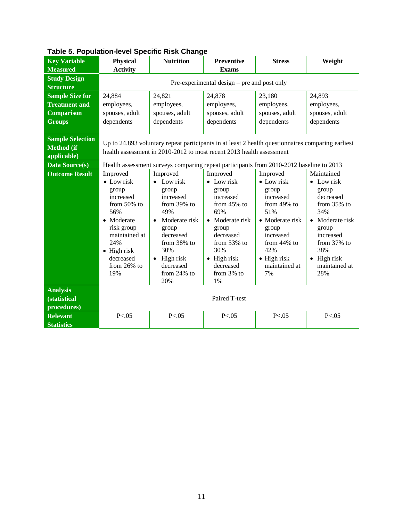| <b>Key Variable</b>                                           | Physical                                                                                                                                                                        | <b>Nutrition</b>                                                                                                                                                                         | Preventive                                                                                                                                                                                | <b>Stress</b>                                                                                                                                                               | Weight                                                                                                                                                                                       |  |  |  |
|---------------------------------------------------------------|---------------------------------------------------------------------------------------------------------------------------------------------------------------------------------|------------------------------------------------------------------------------------------------------------------------------------------------------------------------------------------|-------------------------------------------------------------------------------------------------------------------------------------------------------------------------------------------|-----------------------------------------------------------------------------------------------------------------------------------------------------------------------------|----------------------------------------------------------------------------------------------------------------------------------------------------------------------------------------------|--|--|--|
| <b>Measured</b>                                               | <b>Activity</b>                                                                                                                                                                 |                                                                                                                                                                                          | <b>Exams</b>                                                                                                                                                                              |                                                                                                                                                                             |                                                                                                                                                                                              |  |  |  |
| <b>Study Design</b>                                           |                                                                                                                                                                                 | Pre-experimental design – pre and post only                                                                                                                                              |                                                                                                                                                                                           |                                                                                                                                                                             |                                                                                                                                                                                              |  |  |  |
| <b>Structure</b>                                              |                                                                                                                                                                                 |                                                                                                                                                                                          |                                                                                                                                                                                           |                                                                                                                                                                             |                                                                                                                                                                                              |  |  |  |
| <b>Sample Size for</b>                                        | 24,884                                                                                                                                                                          | 24,821                                                                                                                                                                                   | 24,878                                                                                                                                                                                    | 23,180                                                                                                                                                                      | 24,893                                                                                                                                                                                       |  |  |  |
| <b>Treatment and</b>                                          | employees,                                                                                                                                                                      | employees,                                                                                                                                                                               | employees,                                                                                                                                                                                | employees,                                                                                                                                                                  | employees,                                                                                                                                                                                   |  |  |  |
| <b>Comparison</b>                                             | spouses, adult                                                                                                                                                                  | spouses, adult                                                                                                                                                                           | spouses, adult                                                                                                                                                                            | spouses, adult                                                                                                                                                              | spouses, adult                                                                                                                                                                               |  |  |  |
| <b>Groups</b>                                                 | dependents                                                                                                                                                                      | dependents                                                                                                                                                                               | dependents                                                                                                                                                                                | dependents                                                                                                                                                                  | dependents                                                                                                                                                                                   |  |  |  |
|                                                               |                                                                                                                                                                                 |                                                                                                                                                                                          |                                                                                                                                                                                           |                                                                                                                                                                             |                                                                                                                                                                                              |  |  |  |
| <b>Sample Selection</b>                                       |                                                                                                                                                                                 | Up to 24,893 voluntary repeat participants in at least 2 health questionnaires comparing earliest                                                                                        |                                                                                                                                                                                           |                                                                                                                                                                             |                                                                                                                                                                                              |  |  |  |
| <b>Method</b> (if                                             |                                                                                                                                                                                 | health assessment in 2010-2012 to most recent 2013 health assessment                                                                                                                     |                                                                                                                                                                                           |                                                                                                                                                                             |                                                                                                                                                                                              |  |  |  |
| applicable)                                                   |                                                                                                                                                                                 |                                                                                                                                                                                          |                                                                                                                                                                                           |                                                                                                                                                                             |                                                                                                                                                                                              |  |  |  |
| <b>Data Source(s)</b>                                         |                                                                                                                                                                                 | Health assessment surveys comparing repeat participants from 2010-2012 baseline to 2013                                                                                                  |                                                                                                                                                                                           |                                                                                                                                                                             |                                                                                                                                                                                              |  |  |  |
| <b>Outcome Result</b>                                         | Improved                                                                                                                                                                        | Improved                                                                                                                                                                                 | Improved                                                                                                                                                                                  | Improved                                                                                                                                                                    | Maintained                                                                                                                                                                                   |  |  |  |
|                                                               | $\bullet$ Low risk<br>group<br>increased<br>from $50\%$ to<br>56%<br>• Moderate<br>risk group<br>maintained at<br>24%<br>$\bullet$ High risk<br>decreased<br>from 26% to<br>19% | $\bullet$ Low risk<br>group<br>increased<br>from 39% to<br>49%<br>Moderate risk<br>group<br>decreased<br>from 38% to<br>30%<br>High risk<br>$\bullet$<br>decreased<br>from 24% to<br>20% | $\bullet$ Low risk<br>group<br>increased<br>from $45%$ to<br>69%<br>• Moderate risk<br>group<br>decreased<br>from $53%$ to<br>30%<br>$\bullet$ High risk<br>decreased<br>from 3% to<br>1% | $\bullet$ Low risk<br>group<br>increased<br>from 49% to<br>51%<br>• Moderate risk<br>group<br>increased<br>from 44% to<br>42%<br>$\bullet$ High risk<br>maintained at<br>7% | Low risk<br>$\bullet$<br>group<br>decreased<br>from 35% to<br>34%<br>Moderate risk<br>$\bullet$<br>group<br>increased<br>from $37%$ to<br>38%<br>$\bullet$ High risk<br>maintained at<br>28% |  |  |  |
| <b>Analysis</b><br><i><b>(statistical)</b></i><br>procedures) |                                                                                                                                                                                 |                                                                                                                                                                                          | Paired T-test                                                                                                                                                                             |                                                                                                                                                                             |                                                                                                                                                                                              |  |  |  |
| <b>Relevant</b>                                               | P < .05                                                                                                                                                                         | P < .05                                                                                                                                                                                  | P < 0.05                                                                                                                                                                                  | P < 0.05                                                                                                                                                                    | P < .05                                                                                                                                                                                      |  |  |  |
| <b>Statistics</b>                                             |                                                                                                                                                                                 |                                                                                                                                                                                          |                                                                                                                                                                                           |                                                                                                                                                                             |                                                                                                                                                                                              |  |  |  |

**Table 5. Population-level Specific Risk Change**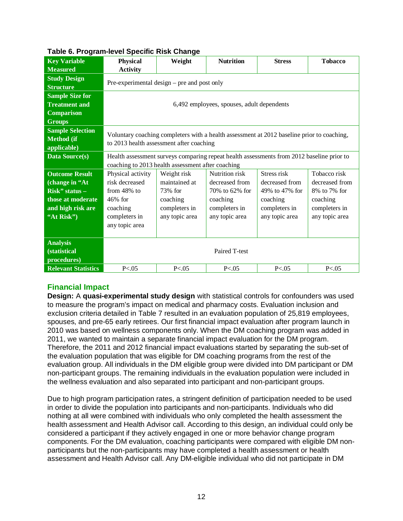| <b>Key Variable</b><br><b>Measured</b>                                                                              | <b>Physical</b><br><b>Activity</b>                                                                                                     | Weight                                                                                                                                         | <b>Nutrition</b>                                                                                  | <b>Stress</b>                                                                                  | <b>Tobacco</b>                                                                                |  |  |
|---------------------------------------------------------------------------------------------------------------------|----------------------------------------------------------------------------------------------------------------------------------------|------------------------------------------------------------------------------------------------------------------------------------------------|---------------------------------------------------------------------------------------------------|------------------------------------------------------------------------------------------------|-----------------------------------------------------------------------------------------------|--|--|
| <b>Study Design</b><br><b>Structure</b>                                                                             | Pre-experimental design – pre and post only                                                                                            |                                                                                                                                                |                                                                                                   |                                                                                                |                                                                                               |  |  |
| <b>Sample Size for</b><br><b>Treatment and</b><br><b>Comparison</b><br><b>Groups</b>                                | 6,492 employees, spouses, adult dependents                                                                                             |                                                                                                                                                |                                                                                                   |                                                                                                |                                                                                               |  |  |
| <b>Sample Selection</b><br><b>Method</b> (if<br>applicable)                                                         | Voluntary coaching completers with a health assessment at 2012 baseline prior to coaching,<br>to 2013 health assessment after coaching |                                                                                                                                                |                                                                                                   |                                                                                                |                                                                                               |  |  |
| Data Source(s)                                                                                                      |                                                                                                                                        | Health assessment surveys comparing repeat health assessments from 2012 baseline prior to<br>coaching to 2013 health assessment after coaching |                                                                                                   |                                                                                                |                                                                                               |  |  |
| <b>Outcome Result</b><br>(change in "At<br>$Risk" status -$<br>those at moderate<br>and high risk are<br>"At Risk") | Physical activity<br>risk decreased<br>from $48%$ to<br>$46%$ for<br>coaching<br>completers in<br>any topic area                       | Weight risk<br>maintained at<br>73% for<br>coaching<br>completers in<br>any topic area                                                         | Nutrition risk<br>decreased from<br>70% to 62% for<br>coaching<br>completers in<br>any topic area | Stress risk<br>decreased from<br>49% to 47% for<br>coaching<br>completers in<br>any topic area | Tobacco risk<br>decreased from<br>8% to 7% for<br>coaching<br>completers in<br>any topic area |  |  |
| <b>Analysis</b><br><i><b>(statistical)</b></i><br>procedures)                                                       | Paired T-test                                                                                                                          |                                                                                                                                                |                                                                                                   |                                                                                                |                                                                                               |  |  |
| <b>Relevant Statistics</b>                                                                                          | P < 0.05                                                                                                                               | P < .05                                                                                                                                        | P < 0.05                                                                                          | P < 0.05                                                                                       | P < .05                                                                                       |  |  |

#### **Table 6. Program-level Specific Risk Change**

#### **Financial Impact**

**Design:** A **quasi-experimental study design** with statistical controls for confounders was used to measure the program's impact on medical and pharmacy costs. Evaluation inclusion and exclusion criteria detailed in Table 7 resulted in an evaluation population of 25,819 employees, spouses, and pre-65 early retirees. Our first financial impact evaluation after program launch in 2010 was based on wellness components only. When the DM coaching program was added in 2011, we wanted to maintain a separate financial impact evaluation for the DM program. Therefore, the 2011 and 2012 financial impact evaluations started by separating the sub-set of the evaluation population that was eligible for DM coaching programs from the rest of the evaluation group. All individuals in the DM eligible group were divided into DM participant or DM non-participant groups. The remaining individuals in the evaluation population were included in the wellness evaluation and also separated into participant and non-participant groups.

Due to high program participation rates, a stringent definition of participation needed to be used in order to divide the population into participants and non-participants. Individuals who did nothing at all were combined with individuals who only completed the health assessment the health assessment and Health Advisor call. According to this design, an individual could only be considered a participant if they actively engaged in one or more behavior change program components. For the DM evaluation, coaching participants were compared with eligible DM nonparticipants but the non-participants may have completed a health assessment or health assessment and Health Advisor call. Any DM-eligible individual who did not participate in DM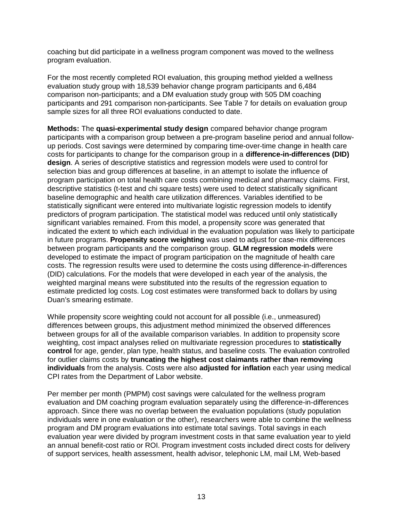coaching but did participate in a wellness program component was moved to the wellness program evaluation.

For the most recently completed ROI evaluation, this grouping method yielded a wellness evaluation study group with 18,539 behavior change program participants and 6,484 comparison non-participants; and a DM evaluation study group with 505 DM coaching participants and 291 comparison non-participants. See Table 7 for details on evaluation group sample sizes for all three ROI evaluations conducted to date.

**Methods:** The **quasi-experimental study design** compared behavior change program participants with a comparison group between a pre-program baseline period and annual followup periods. Cost savings were determined by comparing time-over-time change in health care costs for participants to change for the comparison group in a **difference-in-differences (DID) design**. A series of descriptive statistics and regression models were used to control for selection bias and group differences at baseline, in an attempt to isolate the influence of program participation on total health care costs combining medical and pharmacy claims. First, descriptive statistics (t-test and chi square tests) were used to detect statistically significant baseline demographic and health care utilization differences. Variables identified to be statistically significant were entered into multivariate logistic regression models to identify predictors of program participation. The statistical model was reduced until only statistically significant variables remained. From this model, a propensity score was generated that indicated the extent to which each individual in the evaluation population was likely to participate in future programs. **Propensity score weighting** was used to adjust for case-mix differences between program participants and the comparison group. **GLM regression models** were developed to estimate the impact of program participation on the magnitude of health care costs. The regression results were used to determine the costs using difference-in-differences (DID) calculations. For the models that were developed in each year of the analysis, the weighted marginal means were substituted into the results of the regression equation to estimate predicted log costs. Log cost estimates were transformed back to dollars by using Duan's smearing estimate.

While propensity score weighting could not account for all possible (i.e., unmeasured) differences between groups, this adjustment method minimized the observed differences between groups for all of the available comparison variables. In addition to propensity score weighting, cost impact analyses relied on multivariate regression procedures to **statistically control** for age, gender, plan type, health status, and baseline costs. The evaluation controlled for outlier claims costs by **truncating the highest cost claimants rather than removing individuals** from the analysis. Costs were also **adjusted for inflation** each year using medical CPI rates from the Department of Labor website.

Per member per month (PMPM) cost savings were calculated for the wellness program evaluation and DM coaching program evaluation separately using the difference-in-differences approach. Since there was no overlap between the evaluation populations (study population individuals were in one evaluation or the other), researchers were able to combine the wellness program and DM program evaluations into estimate total savings. Total savings in each evaluation year were divided by program investment costs in that same evaluation year to yield an annual benefit-cost ratio or ROI. Program investment costs included direct costs for delivery of support services, health assessment, health advisor, telephonic LM, mail LM, Web-based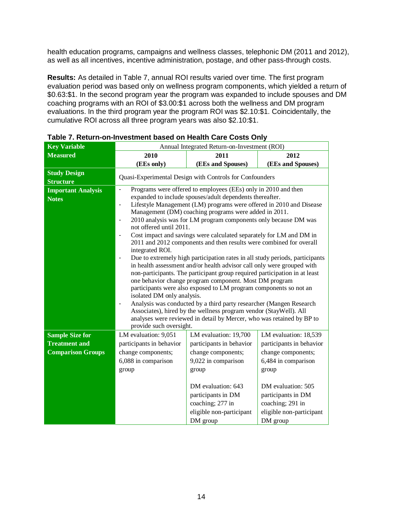health education programs, campaigns and wellness classes, telephonic DM (2011 and 2012), as well as all incentives, incentive administration, postage, and other pass-through costs.

**Results:** As detailed in Table 7, annual ROI results varied over time. The first program evaluation period was based only on wellness program components, which yielded a return of \$0.63:\$1. In the second program year the program was expanded to include spouses and DM coaching programs with an ROI of \$3.00:\$1 across both the wellness and DM program evaluations. In the third program year the program ROI was \$2.10:\$1. Coincidentally, the cumulative ROI across all three program years was also \$2.10:\$1.

| <b>Key Variable</b>       | Annual Integrated Return-on-Investment (ROI)            |                                                                                                                          |                          |  |  |  |
|---------------------------|---------------------------------------------------------|--------------------------------------------------------------------------------------------------------------------------|--------------------------|--|--|--|
| <b>Measured</b>           | 2010                                                    | 2011                                                                                                                     | 2012                     |  |  |  |
|                           | (EEs only)                                              | (EEs and Spouses)                                                                                                        | (EEs and Spouses)        |  |  |  |
| <b>Study Design</b>       |                                                         |                                                                                                                          |                          |  |  |  |
| <b>Structure</b>          | Quasi-Experimental Design with Controls for Confounders |                                                                                                                          |                          |  |  |  |
| <b>Important Analysis</b> |                                                         | Programs were offered to employees (EEs) only in 2010 and then                                                           |                          |  |  |  |
| <b>Notes</b>              |                                                         | expanded to include spouses/adult dependents thereafter.                                                                 |                          |  |  |  |
|                           | $\overline{\phantom{a}}$                                | Lifestyle Management (LM) programs were offered in 2010 and Disease                                                      |                          |  |  |  |
|                           | $\overline{\phantom{a}}$                                | Management (DM) coaching programs were added in 2011.<br>2010 analysis was for LM program components only because DM was |                          |  |  |  |
|                           | not offered until 2011.                                 |                                                                                                                          |                          |  |  |  |
|                           | $\frac{1}{2}$                                           | Cost impact and savings were calculated separately for LM and DM in                                                      |                          |  |  |  |
|                           |                                                         | 2011 and 2012 components and then results were combined for overall                                                      |                          |  |  |  |
|                           | integrated ROI.                                         |                                                                                                                          |                          |  |  |  |
|                           | $\blacksquare$                                          | Due to extremely high participation rates in all study periods, participants                                             |                          |  |  |  |
|                           |                                                         | in health assessment and/or health advisor call only were grouped with                                                   |                          |  |  |  |
|                           |                                                         | non-participants. The participant group required participation in at least                                               |                          |  |  |  |
|                           |                                                         | one behavior change program component. Most DM program                                                                   |                          |  |  |  |
|                           | isolated DM only analysis.                              | participants were also exposed to LM program components so not an                                                        |                          |  |  |  |
|                           | $\blacksquare$                                          | Analysis was conducted by a third party researcher (Mangen Research                                                      |                          |  |  |  |
|                           |                                                         | Associates), hired by the wellness program vendor (StayWell). All                                                        |                          |  |  |  |
|                           |                                                         | analyses were reviewed in detail by Mercer, who was retained by BP to                                                    |                          |  |  |  |
|                           | provide such oversight.                                 |                                                                                                                          |                          |  |  |  |
| <b>Sample Size for</b>    | LM evaluation: 9,051                                    | LM evaluation: 19,700                                                                                                    | LM evaluation: 18,539    |  |  |  |
| <b>Treatment and</b>      | participants in behavior                                | participants in behavior                                                                                                 | participants in behavior |  |  |  |
| <b>Comparison Groups</b>  | change components;                                      | change components;                                                                                                       | change components;       |  |  |  |
|                           | 6,088 in comparison                                     | 9,022 in comparison                                                                                                      | 6,484 in comparison      |  |  |  |
|                           | group                                                   | group                                                                                                                    | group                    |  |  |  |
|                           |                                                         |                                                                                                                          |                          |  |  |  |
|                           |                                                         | DM evaluation: 643                                                                                                       | DM evaluation: 505       |  |  |  |
|                           |                                                         | participants in DM                                                                                                       | participants in DM       |  |  |  |
|                           |                                                         | coaching; 277 in                                                                                                         | coaching; 291 in         |  |  |  |
|                           |                                                         | eligible non-participant                                                                                                 | eligible non-participant |  |  |  |
|                           |                                                         | DM group                                                                                                                 | DM group                 |  |  |  |

**Table 7. Return-on-Investment based on Health Care Costs Only**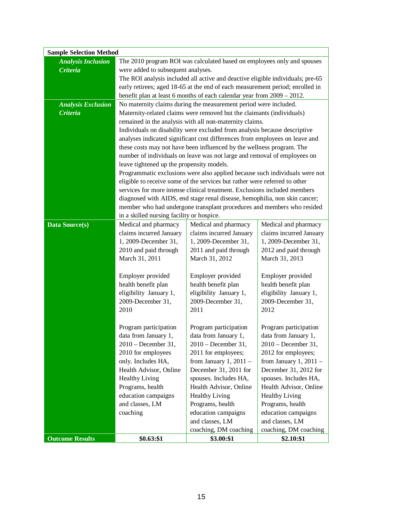| <b>Sample Selection Method</b> |                                                                                |                                                                             |                                               |  |  |  |  |
|--------------------------------|--------------------------------------------------------------------------------|-----------------------------------------------------------------------------|-----------------------------------------------|--|--|--|--|
| <b>Analysis Inclusion</b>      |                                                                                | The 2010 program ROI was calculated based on employees only and spouses     |                                               |  |  |  |  |
| <b>Criteria</b>                | were added to subsequent analyses.                                             |                                                                             |                                               |  |  |  |  |
|                                | The ROI analysis included all active and deactive eligible individuals; pre-65 |                                                                             |                                               |  |  |  |  |
|                                | early retirees; aged 18-65 at the end of each measurement period; enrolled in  |                                                                             |                                               |  |  |  |  |
|                                |                                                                                | benefit plan at least 6 months of each calendar year from 2009 - 2012.      |                                               |  |  |  |  |
| <b>Analysis Exclusion</b>      |                                                                                | No maternity claims during the measurement period were included.            |                                               |  |  |  |  |
| <b>Criteria</b>                |                                                                                | Maternity-related claims were removed but the claimants (individuals)       |                                               |  |  |  |  |
|                                |                                                                                | remained in the analysis with all non-maternity claims.                     |                                               |  |  |  |  |
|                                |                                                                                | Individuals on disability were excluded from analysis because descriptive   |                                               |  |  |  |  |
|                                |                                                                                | analyses indicated significant cost differences from employees on leave and |                                               |  |  |  |  |
|                                |                                                                                | these costs may not have been influenced by the wellness program. The       |                                               |  |  |  |  |
|                                |                                                                                | number of individuals on leave was not large and removal of employees on    |                                               |  |  |  |  |
|                                | leave tightened up the propensity models.                                      |                                                                             |                                               |  |  |  |  |
|                                |                                                                                | Programmatic exclusions were also applied because such individuals were not |                                               |  |  |  |  |
|                                |                                                                                | eligible to receive some of the services but rather were referred to other  |                                               |  |  |  |  |
|                                |                                                                                | services for more intense clinical treatment. Exclusions included members   |                                               |  |  |  |  |
|                                |                                                                                | diagnosed with AIDS, end stage renal disease, hemophilia, non skin cancer;  |                                               |  |  |  |  |
|                                | member who had undergone transplant procedures and members who resided         |                                                                             |                                               |  |  |  |  |
|                                | in a skilled nursing facility or hospice.                                      |                                                                             |                                               |  |  |  |  |
| Data Source(s)                 | Medical and pharmacy                                                           | Medical and pharmacy                                                        | Medical and pharmacy                          |  |  |  |  |
|                                | claims incurred January                                                        | claims incurred January                                                     | claims incurred January                       |  |  |  |  |
|                                | 1, 2009-December 31,                                                           | 1, 2009-December 31,                                                        | 1, 2009-December 31,                          |  |  |  |  |
|                                | 2010 and paid through                                                          | 2011 and paid through                                                       | 2012 and paid through                         |  |  |  |  |
|                                | March 31, 2011                                                                 | March 31, 2012                                                              | March 31, 2013                                |  |  |  |  |
|                                |                                                                                |                                                                             |                                               |  |  |  |  |
|                                | Employer provided                                                              | Employer provided                                                           | Employer provided                             |  |  |  |  |
|                                | health benefit plan                                                            | health benefit plan                                                         | health benefit plan                           |  |  |  |  |
|                                | eligibility January 1,                                                         | eligibility January 1,                                                      | eligibility January 1,                        |  |  |  |  |
|                                | 2009-December 31,                                                              | 2009-December 31,                                                           | 2009-December 31,                             |  |  |  |  |
|                                | 2010                                                                           | 2011                                                                        | 2012                                          |  |  |  |  |
|                                |                                                                                |                                                                             |                                               |  |  |  |  |
|                                | Program participation<br>data from January 1,                                  | Program participation<br>data from January 1,                               | Program participation<br>data from January 1, |  |  |  |  |
|                                | 2010 - December 31,                                                            | 2010 - December 31,                                                         | 2010 - December 31,                           |  |  |  |  |
|                                | 2010 for employees                                                             | 2011 for employees;                                                         | 2012 for employees;                           |  |  |  |  |
|                                | only. Includes HA,                                                             | from January 1, $2011 -$                                                    | from January 1, $2011 -$                      |  |  |  |  |
|                                | Health Advisor, Online                                                         | December 31, 2011 for                                                       | December 31, 2012 for                         |  |  |  |  |
|                                | <b>Healthy Living</b>                                                          | spouses. Includes HA,                                                       | spouses. Includes HA,                         |  |  |  |  |
|                                | Programs, health                                                               | Health Advisor, Online                                                      | Health Advisor, Online                        |  |  |  |  |
|                                | education campaigns                                                            | <b>Healthy Living</b>                                                       | <b>Healthy Living</b>                         |  |  |  |  |
|                                | and classes, LM                                                                | Programs, health                                                            | Programs, health                              |  |  |  |  |
|                                | coaching                                                                       | education campaigns                                                         | education campaigns                           |  |  |  |  |
|                                |                                                                                | and classes, LM                                                             | and classes, LM                               |  |  |  |  |
|                                |                                                                                | coaching, DM coaching                                                       | coaching, DM coaching                         |  |  |  |  |
| <b>Outcome Results</b>         | \$0.63:\$1                                                                     | \$3.00:\$1                                                                  | \$2.10:\$1                                    |  |  |  |  |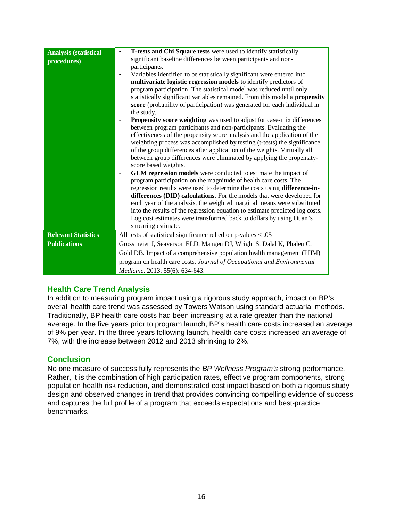| <b>Analysis (statistical</b> | T-tests and Chi Square tests were used to identify statistically             |
|------------------------------|------------------------------------------------------------------------------|
| procedures)                  | significant baseline differences between participants and non-               |
|                              | participants.                                                                |
|                              | Variables identified to be statistically significant were entered into       |
|                              | multivariate logistic regression models to identify predictors of            |
|                              | program participation. The statistical model was reduced until only          |
|                              | statistically significant variables remained. From this model a propensity   |
|                              | score (probability of participation) was generated for each individual in    |
|                              | the study.                                                                   |
|                              | Propensity score weighting was used to adjust for case-mix differences       |
|                              | between program participants and non-participants. Evaluating the            |
|                              | effectiveness of the propensity score analysis and the application of the    |
|                              | weighting process was accomplished by testing (t-tests) the significance     |
|                              | of the group differences after application of the weights. Virtually all     |
|                              | between group differences were eliminated by applying the propensity-        |
|                              | score based weights.                                                         |
|                              | GLM regression models were conducted to estimate the impact of               |
|                              | program participation on the magnitude of health care costs. The             |
|                              | regression results were used to determine the costs using difference-in-     |
|                              | differences (DID) calculations. For the models that were developed for       |
|                              | each year of the analysis, the weighted marginal means were substituted      |
|                              | into the results of the regression equation to estimate predicted log costs. |
|                              | Log cost estimates were transformed back to dollars by using Duan's          |
|                              | smearing estimate.                                                           |
| <b>Relevant Statistics</b>   | All tests of statistical significance relied on $p$ -values < .05            |
| <b>Publications</b>          | Grossmeier J, Seaverson ELD, Mangen DJ, Wright S, Dalal K, Phalen C,         |
|                              | Gold DB. Impact of a comprehensive population health management (PHM)        |
|                              | program on health care costs. Journal of Occupational and Environmental      |
|                              | Medicine. 2013: 55(6): 634-643.                                              |

#### **Health Care Trend Analysis**

In addition to measuring program impact using a rigorous study approach, impact on BP's overall health care trend was assessed by Towers Watson using standard actuarial methods. Traditionally, BP health care costs had been increasing at a rate greater than the national average. In the five years prior to program launch, BP's health care costs increased an average of 9% per year. In the three years following launch, health care costs increased an average of 7%, with the increase between 2012 and 2013 shrinking to 2%.

#### **Conclusion**

No one measure of success fully represents the *BP Wellness Program's* strong performance. Rather, it is the combination of high participation rates, effective program components, strong population health risk reduction, and demonstrated cost impact based on both a rigorous study design and observed changes in trend that provides convincing compelling evidence of success and captures the full profile of a program that exceeds expectations and best-practice benchmarks.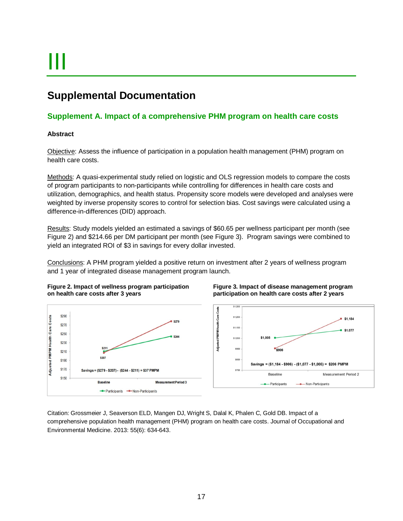# **Supplemental Documentation**

#### **Supplement A. Impact of a comprehensive PHM program on health care costs**

#### **Abstract**

Objective: Assess the influence of participation in a population health management (PHM) program on health care costs.

Methods: A quasi-experimental study relied on logistic and OLS regression models to compare the costs of program participants to non-participants while controlling for differences in health care costs and utilization, demographics, and health status. Propensity score models were developed and analyses were weighted by inverse propensity scores to control for selection bias. Cost savings were calculated using a difference-in-differences (DID) approach.

Results: Study models yielded an estimated a savings of \$60.65 per wellness participant per month (see Figure 2) and \$214.66 per DM participant per month (see Figure 3). Program savings were combined to yield an integrated ROI of \$3 in savings for every dollar invested.

Conclusions: A PHM program yielded a positive return on investment after 2 years of wellness program and 1 year of integrated disease management program launch.









Citation: Grossmeier J, Seaverson ELD, Mangen DJ, Wright S, Dalal K, Phalen C, Gold DB. Impact of a comprehensive population health management (PHM) program on health care costs. Journal of Occupational and Environmental Medicine. 2013: 55(6): 634-643.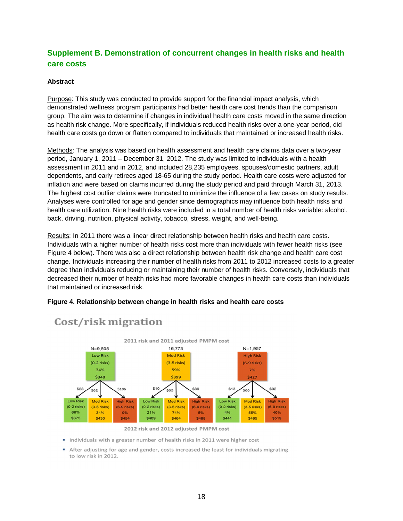#### **Supplement B. Demonstration of concurrent changes in health risks and health care costs**

#### **Abstract**

Purpose: This study was conducted to provide support for the financial impact analysis, which demonstrated wellness program participants had better health care cost trends than the comparison group. The aim was to determine if changes in individual health care costs moved in the same direction as health risk change. More specifically, if individuals reduced health risks over a one-year period, did health care costs go down or flatten compared to individuals that maintained or increased health risks.

Methods: The analysis was based on health assessment and health care claims data over a two-year period, January 1, 2011 – December 31, 2012. The study was limited to individuals with a health assessment in 2011 and in 2012, and included 28,235 employees, spouses/domestic partners, adult dependents, and early retirees aged 18-65 during the study period. Health care costs were adjusted for inflation and were based on claims incurred during the study period and paid through March 31, 2013. The highest cost outlier claims were truncated to minimize the influence of a few cases on study results. Analyses were controlled for age and gender since demographics may influence both health risks and health care utilization. Nine health risks were included in a total number of health risks variable: alcohol, back, driving, nutrition, physical activity, tobacco, stress, weight, and well-being.

Results: In 2011 there was a linear direct relationship between health risks and health care costs. Individuals with a higher number of health risks cost more than individuals with fewer health risks (see Figure 4 below). There was also a direct relationship between health risk change and health care cost change. Individuals increasing their number of health risks from 2011 to 2012 increased costs to a greater degree than individuals reducing or maintaining their number of health risks. Conversely, individuals that decreased their number of health risks had more favorable changes in health care costs than individuals that maintained or increased risk.

#### **Figure 4. Relationship between change in health risks and health care costs**



## Cost/risk migration

2012 risk and 2012 adjusted PMPM cost

- " Individuals with a greater number of health risks in 2011 were higher cost
- After adjusting for age and gender, costs increased the least for individuals migrating to low risk in 2012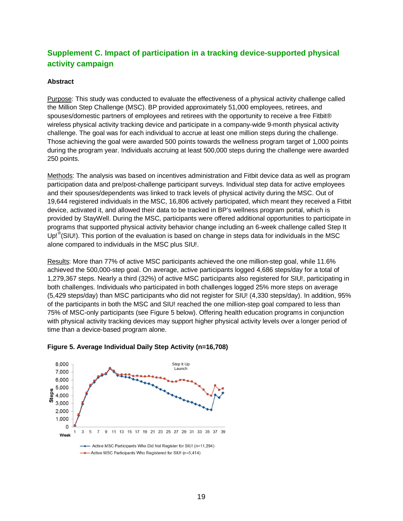#### **Supplement C. Impact of participation in a tracking device-supported physical activity campaign**

#### **Abstract**

Purpose: This study was conducted to evaluate the effectiveness of a physical activity challenge called the Million Step Challenge (MSC). BP provided approximately 51,000 employees, retirees, and spouses/domestic partners of employees and retirees with the opportunity to receive a free Fitbit® wireless physical activity tracking device and participate in a company-wide 9-month physical activity challenge. The goal was for each individual to accrue at least one million steps during the challenge. Those achieving the goal were awarded 500 points towards the wellness program target of 1,000 points during the program year. Individuals accruing at least 500,000 steps during the challenge were awarded 250 points.

Methods: The analysis was based on incentives administration and Fitbit device data as well as program participation data and pre/post-challenge participant surveys. Individual step data for active employees and their spouses/dependents was linked to track levels of physical activity during the MSC. Out of 19,644 registered individuals in the MSC, 16,806 actively participated, which meant they received a Fitbit device, activated it, and allowed their data to be tracked in BP's wellness program portal, which is provided by StayWell. During the MSC, participants were offered additional opportunities to participate in programs that supported physical activity behavior change including an 6-week challenge called Step It Up!<sup>®</sup>(SIU!). This portion of the evaluation is based on change in steps data for individuals in the MSC alone compared to individuals in the MSC plus SIU!.

Results: More than 77% of active MSC participants achieved the one million-step goal, while 11.6% achieved the 500,000-step goal. On average, active participants logged 4,686 steps/day for a total of 1,279,367 steps. Nearly a third (32%) of active MSC participants also registered for SIU!, participating in both challenges. Individuals who participated in both challenges logged 25% more steps on average (5,429 steps/day) than MSC participants who did not register for SIU! (4,330 steps/day). In addition, 95% of the participants in both the MSC and SIU! reached the one million-step goal compared to less than 75% of MSC-only participants (see Figure 5 below). Offering health education programs in conjunction with physical activity tracking devices may support higher physical activity levels over a longer period of time than a device-based program alone.



#### **Figure 5. Average Individual Daily Step Activity (n=16,708)**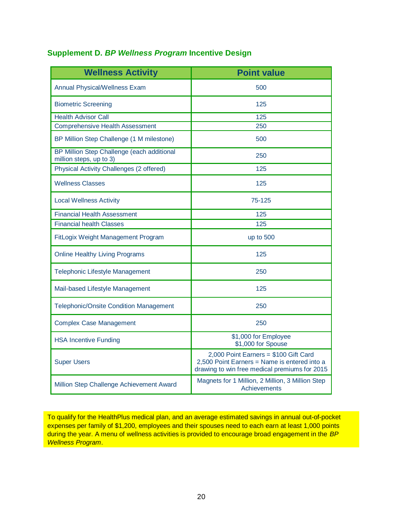#### **Supplement D.** *BP Wellness Program* **Incentive Design**

| <b>Wellness Activity</b>                                              | <b>Point value</b>                                                                                                                     |
|-----------------------------------------------------------------------|----------------------------------------------------------------------------------------------------------------------------------------|
| <b>Annual Physical/Wellness Exam</b>                                  | 500                                                                                                                                    |
| <b>Biometric Screening</b>                                            | 125                                                                                                                                    |
| <b>Health Advisor Call</b>                                            | 125                                                                                                                                    |
| <b>Comprehensive Health Assessment</b>                                | 250                                                                                                                                    |
| BP Million Step Challenge (1 M milestone)                             | 500                                                                                                                                    |
| BP Million Step Challenge (each additional<br>million steps, up to 3) | 250                                                                                                                                    |
| Physical Activity Challenges (2 offered)                              | 125                                                                                                                                    |
| <b>Wellness Classes</b>                                               | 125                                                                                                                                    |
| <b>Local Wellness Activity</b>                                        | 75-125                                                                                                                                 |
| <b>Financial Health Assessment</b>                                    | 125                                                                                                                                    |
| <b>Financial health Classes</b>                                       | 125                                                                                                                                    |
| FitLogix Weight Management Program                                    | up to 500                                                                                                                              |
| <b>Online Healthy Living Programs</b>                                 | 125                                                                                                                                    |
| Telephonic Lifestyle Management                                       | 250                                                                                                                                    |
| Mail-based Lifestyle Management                                       | 125                                                                                                                                    |
| Telephonic/Onsite Condition Management                                | 250                                                                                                                                    |
| <b>Complex Case Management</b>                                        | 250                                                                                                                                    |
| <b>HSA Incentive Funding</b>                                          | \$1,000 for Employee<br>\$1,000 for Spouse                                                                                             |
| <b>Super Users</b>                                                    | 2,000 Point Earners = \$100 Gift Card<br>2,500 Point Earners = Name is entered into a<br>drawing to win free medical premiums for 2015 |
| Million Step Challenge Achievement Award                              | Magnets for 1 Million, 2 Million, 3 Million Step<br>Achievements                                                                       |

To qualify for the HealthPlus medical plan, and an average estimated savings in annual out-of-pocket expenses per family of \$1,200, employees and their spouses need to each earn at least 1,000 points during the year. A menu of wellness activities is provided to encourage broad engagement in the *BP Wellness Program*.